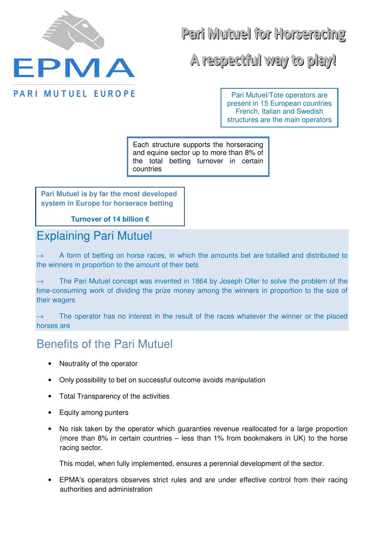

Parii Mutuell for Horseraciing

A respectfull way to play!

Pari Mutuel/Tote operators are present in 15 European countries French, Italian and Swedish structures are the main operators

Each structure supports the horseracing and equine sector up to more than 8% of the total betting turnover in certain countries

**Pari Mutuel is by far the most developed system in Europe for horserace betting** 

**Turnover of 14 billion €**

## Explaining Pari Mutuel

A form of betting on horse races, in which the amounts bet are totalled and distributed to the winners in proportion to the amount of their bets

The Pari Mutuel concept was invented in 1864 by Joseph Oller to solve the problem of the time-consuming work of dividing the prize money among the winners in proportion to the size of their wagers

 $\rightarrow$  The operator has no interest in the result of the races whatever the winner or the placed horses are

## Benefits of the Pari Mutuel

- Neutrality of the operator
- Only possibility to bet on successful outcome avoids manipulation
- Total Transparency of the activities
- Equity among punters
- No risk taken by the operator which guaranties revenue reallocated for a large proportion (more than 8% in certain countries – less than 1% from bookmakers in UK) to the horse racing sector.

This model, when fully implemented, ensures a perennial development of the sector.

• EPMA's operators observes strict rules and are under effective control from their racing authorities and administration